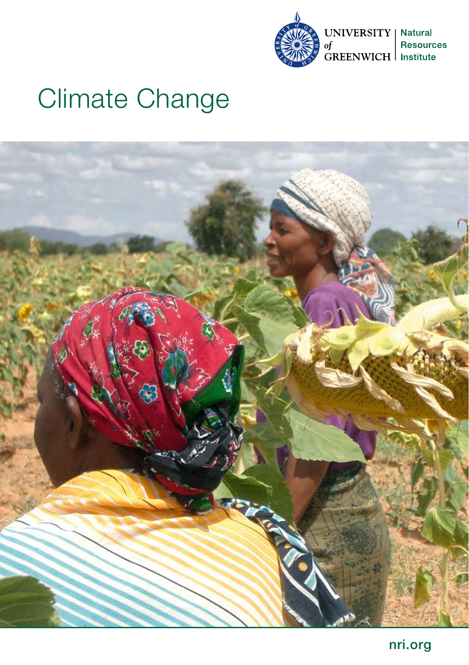

# Climate Change

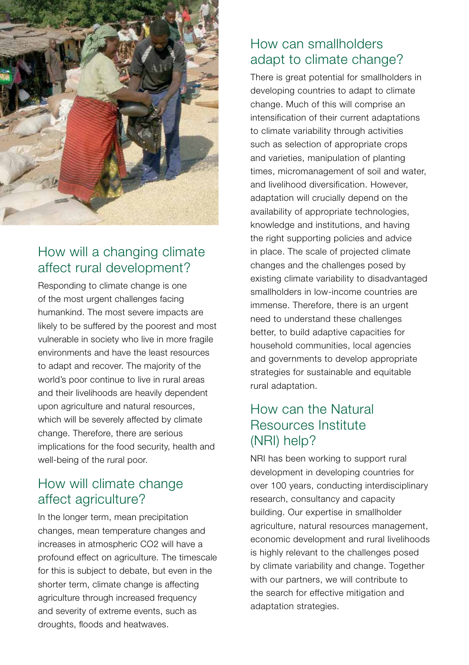

# How will a changing climate affect rural development?

Responding to climate change is one of the most urgent challenges facing humankind. The most severe impacts are likely to be suffered by the poorest and most vulnerable in society who live in more fragile environments and have the least resources to adapt and recover. The majority of the world's poor continue to live in rural areas and their livelihoods are heavily dependent upon agriculture and natural resources, which will be severely affected by climate change. Therefore, there are serious implications for the food security, health and well-being of the rural poor.

# How will climate change affect agriculture?

In the longer term, mean precipitation changes, mean temperature changes and increases in atmospheric CO2 will have a profound effect on agriculture. The timescale for this is subject to debate, but even in the shorter term, climate change is affecting agriculture through increased frequency and severity of extreme events, such as droughts, floods and heatwaves.

## How can smallholders adapt to climate change?

There is great potential for smallholders in developing countries to adapt to climate change. Much of this will comprise an intensification of their current adaptations to climate variability through activities such as selection of appropriate crops and varieties, manipulation of planting times, micromanagement of soil and water, and livelihood diversification. However, adaptation will crucially depend on the availability of appropriate technologies, knowledge and institutions, and having the right supporting policies and advice in place. The scale of projected climate changes and the challenges posed by existing climate variability to disadvantaged smallholders in low-income countries are immense. Therefore, there is an urgent need to understand these challenges better, to build adaptive capacities for household communities, local agencies and governments to develop appropriate strategies for sustainable and equitable rural adaptation.

# How can the Natural Resources Institute (NRI) help?

NRI has been working to support rural development in developing countries for over 100 years, conducting interdisciplinary research, consultancy and capacity building. Our expertise in smallholder agriculture, natural resources management, economic development and rural livelihoods is highly relevant to the challenges posed by climate variability and change. Together with our partners, we will contribute to the search for effective mitigation and adaptation strategies.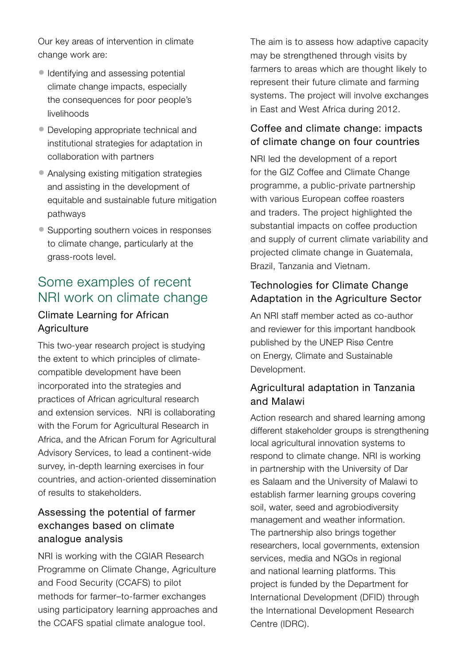Our key areas of intervention in climate change work are:

- Identifying and assessing potential climate change impacts, especially the consequences for poor people's livelihoods
- Developing appropriate technical and institutional strategies for adaptation in collaboration with partners
- Analysing existing mitigation strategies and assisting in the development of equitable and sustainable future mitigation pathways
- Supporting southern voices in responses to climate change, particularly at the grass-roots level.

# Some examples of recent NRI work on climate change

## Climate Learning for African **Agriculture**

This two-year research project is studying the extent to which principles of climatecompatible development have been incorporated into the strategies and practices of African agricultural research and extension services. NRI is collaborating with the Forum for Agricultural Research in Africa, and the African Forum for Agricultural Advisory Services, to lead a continent-wide survey, in-depth learning exercises in four countries, and action-oriented dissemination of results to stakeholders.

## Assessing the potential of farmer exchanges based on climate analogue analysis

NRI is working with the CGIAR Research Programme on Climate Change, Agriculture and Food Security (CCAFS) to pilot methods for farmer–to-farmer exchanges using participatory learning approaches and the CCAFS spatial climate analogue tool.

The aim is to assess how adaptive capacity may be strengthened through visits by farmers to areas which are thought likely to represent their future climate and farming systems. The project will involve exchanges in East and West Africa during 2012.

#### Coffee and climate change: impacts of climate change on four countries

NRI led the development of a report for the GIZ Coffee and Climate Change programme, a public-private partnership with various European coffee roasters and traders. The project highlighted the substantial impacts on coffee production and supply of current climate variability and projected climate change in Guatemala, Brazil, Tanzania and Vietnam.

#### Technologies for Climate Change Adaptation in the Agriculture Sector

An NRI staff member acted as co-author and reviewer for this important handbook published by the UNEP Risø Centre on Energy, Climate and Sustainable Development.

#### Agricultural adaptation in Tanzania and Malawi

Action research and shared learning among different stakeholder groups is strengthening local agricultural innovation systems to respond to climate change. NRI is working in partnership with the University of Dar es Salaam and the University of Malawi to establish farmer learning groups covering soil, water, seed and agrobiodiversity management and weather information. The partnership also brings together researchers, local governments, extension services, media and NGOs in regional and national learning platforms. This project is funded by the Department for International Development (DFID) through the International Development Research Centre (IDRC).